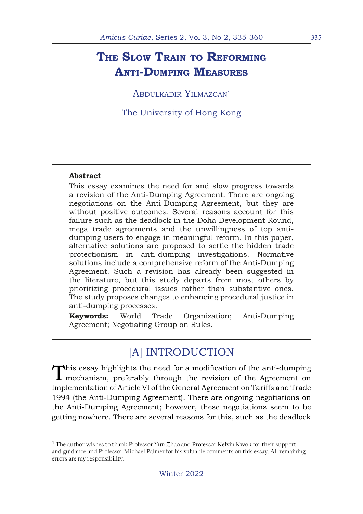# **The Slow Train to Reforming Anti-Dumping Measures**

ABDULKADIR YILMAZCAN<sup>1</sup>

The University of Hong Kong

#### **Abstract**

This essay examines the need for and slow progress towards a revision of the Anti-Dumping Agreement. There are ongoing negotiations on the Anti-Dumping Agreement, but they are without positive outcomes. Several reasons account for this failure such as the deadlock in the Doha Development Round, mega trade agreements and the unwillingness of top antidumping users to engage in meaningful reform. In this paper, alternative solutions are proposed to settle the hidden trade protectionism in anti-dumping investigations. Normative solutions include a comprehensive reform of the Anti-Dumping Agreement. Such a revision has already been suggested in the literature, but this study departs from most others by prioritizing procedural issues rather than substantive ones. The study proposes changes to enhancing procedural justice in anti-dumping processes.

**Keywords:** World Trade Organization; Anti-Dumping Agreement; Negotiating Group on Rules.

## [A] INTRODUCTION

This essay highlights the need for a modification of the anti-dumping  $\blacksquare$  mechanism, preferably through the revision of the Agreement on Implementation of Article VI of the General Agreement on Tariffs and Trade 1994 (the Anti-Dumping Agreement). There are ongoing negotiations on the Anti-Dumping Agreement; however, these negotiations seem to be getting nowhere. There are several reasons for this, such as the deadlock

<sup>&</sup>lt;sup>1</sup> The author wishes to thank Professor Yun Zhao and Professor Kelvin Kwok for their support and guidance and Professor Michael Palmer for his valuable comments on this essay. All remaining errors are my responsibility.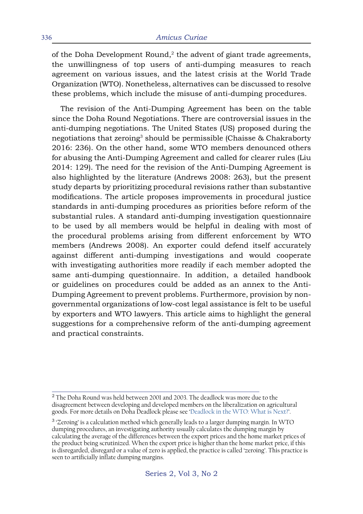of the Doha Development Round, $2$  the advent of giant trade agreements, the unwillingness of top users of anti-dumping measures to reach agreement on various issues, and the latest crisis at the World Trade Organization (WTO). Nonetheless, alternatives can be discussed to resolve these problems, which include the misuse of anti-dumping procedures.

The revision of the Anti-Dumping Agreement has been on the table since the Doha Round Negotiations. There are controversial issues in the anti-dumping negotiations. The United States (US) proposed during the negotiations that zeroing<sup>3</sup> should be permissible (Chaisse  $\&$  Chakraborty 2016: 236). On the other hand, some WTO members denounced others for abusing the Anti-Dumping Agreement and called for clearer rules (Liu 2014: 129). The need for the revision of the Anti-Dumping Agreement is also highlighted by the literature (Andrews 2008: 263), but the present study departs by prioritizing procedural revisions rather than substantive modifications. The article proposes improvements in procedural justice standards in anti-dumping procedures as priorities before reform of the substantial rules. A standard anti-dumping investigation questionnaire to be used by all members would be helpful in dealing with most of the procedural problems arising from different enforcement by WTO members (Andrews 2008). An exporter could defend itself accurately against different anti-dumping investigations and would cooperate with investigating authorities more readily if each member adopted the same anti-dumping questionnaire. In addition, a detailed handbook or guidelines on procedures could be added as an annex to the Anti-Dumping Agreement to prevent problems. Furthermore, provision by nongovernmental organizations of low-cost legal assistance is felt to be useful by exporters and WTO lawyers. This article aims to highlight the general suggestions for a comprehensive reform of the anti-dumping agreement and practical constraints.

 $^{2}$  The Doha Round was held between 2001 and 2003. The deadlock was more due to the disagreement between developing and developed members on the liberalization on agricultural goods. For more details on Doha Deadlock please see ['Deadlock in the WTO: What is Next?](https://www.wto.org/english/forums_e/public_forum12_e/art_pf12_e/art19.htm)'.

<sup>&</sup>lt;sup>3</sup> 'Zeroing' is a calculation method which generally leads to a larger dumping margin. In WTO dumping procedures, an investigating authority usually calculates the dumping margin by calculating the average of the differences between the export prices and the home market prices of the product being scrutinized. When the export price is higher than the home market price, if this is disregarded, disregard or a value of zero is applied, the practice is called 'zeroing'. This practice is seen to artificially inflate dumping margins.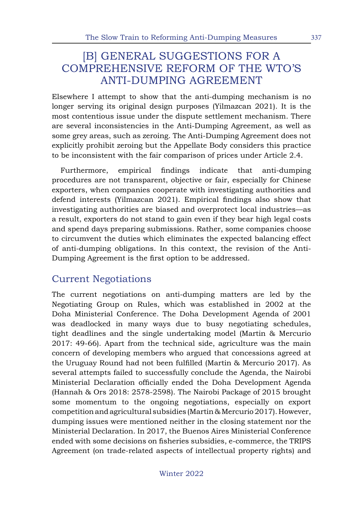## [B] GENERAL SUGGESTIONS FOR A COMPREHENSIVE REFORM OF THE WTO'S ANTI-DUMPING AGREEMENT

Elsewhere I attempt to show that the anti-dumping mechanism is no longer serving its original design purposes (Yilmazcan 2021). It is the most contentious issue under the dispute settlement mechanism. There are several inconsistencies in the Anti-Dumping Agreement, as well as some grey areas, such as zeroing. The Anti-Dumping Agreement does not explicitly prohibit zeroing but the Appellate Body considers this practice to be inconsistent with the fair comparison of prices under Article 2.4.

Furthermore, empirical findings indicate that anti-dumping procedures are not transparent, objective or fair, especially for Chinese exporters, when companies cooperate with investigating authorities and defend interests (Yilmazcan 2021). Empirical findings also show that investigating authorities are biased and overprotect local industries—as a result, exporters do not stand to gain even if they bear high legal costs and spend days preparing submissions. Rather, some companies choose to circumvent the duties which eliminates the expected balancing effect of anti-dumping obligations. In this context, the revision of the Anti-Dumping Agreement is the first option to be addressed.

## Current Negotiations

The current negotiations on anti-dumping matters are led by the Negotiating Group on Rules, which was established in 2002 at the Doha Ministerial Conference. The Doha Development Agenda of 2001 was deadlocked in many ways due to busy negotiating schedules, tight deadlines and the single undertaking model (Martin & Mercurio 2017: 49-66). Apart from the technical side, agriculture was the main concern of developing members who argued that concessions agreed at the Uruguay Round had not been fulfilled (Martin & Mercurio 2017). As several attempts failed to successfully conclude the Agenda, the Nairobi Ministerial Declaration officially ended the Doha Development Agenda (Hannah & Ors 2018: 2578-2598). The Nairobi Package of 2015 brought some momentum to the ongoing negotiations, especially on export competition and agricultural subsidies (Martin & Mercurio 2017). However, dumping issues were mentioned neither in the closing statement nor the Ministerial Declaration. In 2017, the Buenos Aires Ministerial Conference ended with some decisions on fisheries subsidies, e-commerce, the TRIPS Agreement (on trade-related aspects of intellectual property rights) and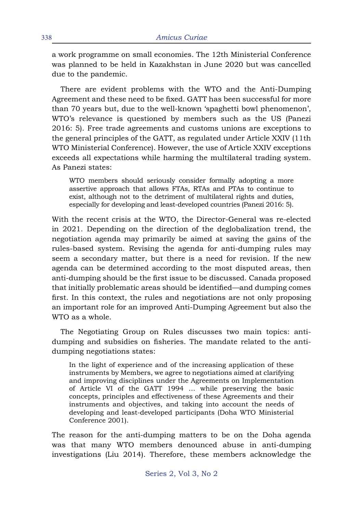a work programme on small economies. The 12th Ministerial Conference was planned to be held in Kazakhstan in June 2020 but was cancelled due to the pandemic.

There are evident problems with the WTO and the Anti-Dumping Agreement and these need to be fixed. GATT has been successful for more than 70 years but, due to the well-known 'spaghetti bowl phenomenon', WTO's relevance is questioned by members such as the US (Panezi 2016: 5). Free trade agreements and customs unions are exceptions to the general principles of the GATT, as regulated under Article XXIV (11th WTO Ministerial Conference). However, the use of Article XXIV exceptions exceeds all expectations while harming the multilateral trading system. As Panezi states:

WTO members should seriously consider formally adopting a more assertive approach that allows FTAs, RTAs and PTAs to continue to exist, although not to the detriment of multilateral rights and duties, especially for developing and least-developed countries (Panezi 2016: 5).

With the recent crisis at the WTO, the Director-General was re-elected in 2021. Depending on the direction of the deglobalization trend, the negotiation agenda may primarily be aimed at saving the gains of the rules-based system. Revising the agenda for anti-dumping rules may seem a secondary matter, but there is a need for revision. If the new agenda can be determined according to the most disputed areas, then anti-dumping should be the first issue to be discussed. Canada proposed that initially problematic areas should be identified—and dumping comes first. In this context, the rules and negotiations are not only proposing an important role for an improved Anti-Dumping Agreement but also the WTO as a whole.

The Negotiating Group on Rules discusses two main topics: antidumping and subsidies on fisheries. The mandate related to the antidumping negotiations states:

In the light of experience and of the increasing application of these instruments by Members, we agree to negotiations aimed at clarifying and improving disciplines under the Agreements on Implementation of Article VI of the GATT 1994 … while preserving the basic concepts, principles and effectiveness of these Agreements and their instruments and objectives, and taking into account the needs of developing and least-developed participants (Doha WTO Ministerial Conference 2001).

The reason for the anti-dumping matters to be on the Doha agenda was that many WTO members denounced abuse in anti-dumping investigations (Liu 2014). Therefore, these members acknowledge the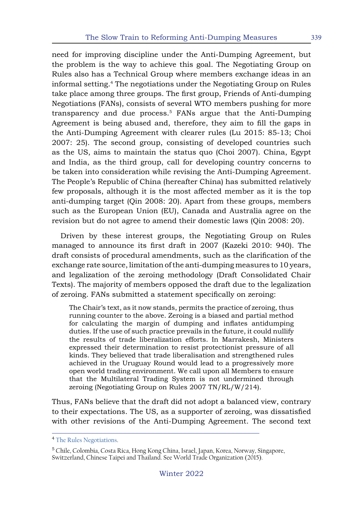need for improving discipline under the Anti-Dumping Agreement, but the problem is the way to achieve this goal. The Negotiating Group on Rules also has a Technical Group where members exchange ideas in an informal setting.4 The negotiations under the Negotiating Group on Rules take place among three groups. The first group, Friends of Anti-dumping Negotiations (FANs), consists of several WTO members pushing for more transparency and due process.<sup>5</sup> FANs argue that the Anti-Dumping Agreement is being abused and, therefore, they aim to fill the gaps in the Anti-Dumping Agreement with clearer rules (Lu 2015: 85-13; Choi 2007: 25). The second group, consisting of developed countries such as the US, aims to maintain the status quo (Choi 2007). China, Egypt and India, as the third group, call for developing country concerns to be taken into consideration while revising the Anti-Dumping Agreement. The People's Republic of China (hereafter China) has submitted relatively few proposals, although it is the most affected member as it is the top anti-dumping target (Qin 2008: 20). Apart from these groups, members such as the European Union (EU), Canada and Australia agree on the revision but do not agree to amend their domestic laws (Qin 2008: 20).

Driven by these interest groups, the Negotiating Group on Rules managed to announce its first draft in 2007 (Kazeki 2010: 940). The draft consists of procedural amendments, such as the clarification of the exchange rate source, limitation of the anti-dumping measures to 10 years, and legalization of the zeroing methodology (Draft Consolidated Chair Texts). The majority of members opposed the draft due to the legalization of zeroing. FANs submitted a statement specifically on zeroing:

The Chair's text, as it now stands, permits the practice of zeroing, thus running counter to the above. Zeroing is a biased and partial method for calculating the margin of dumping and inflates antidumping duties. If the use of such practice prevails in the future, it could nullify the results of trade liberalization efforts. In Marrakesh, Ministers expressed their determination to resist protectionist pressure of all kinds. They believed that trade liberalisation and strengthened rules achieved in the Uruguay Round would lead to a progressively more open world trading environment. We call upon all Members to ensure that the Multilateral Trading System is not undermined through zeroing (Negotiating Group on Rules 2007 TN/RL/W/214).

Thus, FANs believe that the draft did not adopt a balanced view, contrary to their expectations. The US, as a supporter of zeroing, was dissatisfied with other revisions of the Anti-Dumping Agreement. The second text

<sup>4</sup> [The Rules Negotiations.](https://www.wto.org/english/tratop_e/rulesneg_e/rulesneg_e.htm)

<sup>5</sup> Chile, Colombia, Costa Rica, Hong Kong China, Israel, Japan, Korea, Norway, Singapore, Switzerland, Chinese Taipei and Thailand. See World Trade Organization (2015).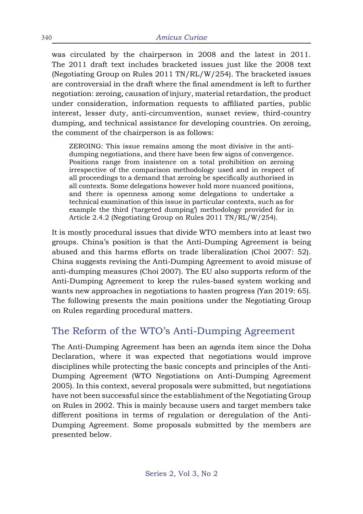was circulated by the chairperson in 2008 and the latest in 2011. The 2011 draft text includes bracketed issues just like the 2008 text (Negotiating Group on Rules 2011 TN/RL/W/254). The bracketed issues are controversial in the draft where the final amendment is left to further negotiation: zeroing, causation of injury, material retardation, the product under consideration, information requests to affiliated parties, public interest, lesser duty, anti-circumvention, sunset review, third-country dumping, and technical assistance for developing countries. On zeroing, the comment of the chairperson is as follows:

ZEROING: This issue remains among the most divisive in the antidumping negotiations, and there have been few signs of convergence. Positions range from insistence on a total prohibition on zeroing irrespective of the comparison methodology used and in respect of all proceedings to a demand that zeroing be specifically authorised in all contexts. Some delegations however hold more nuanced positions, and there is openness among some delegations to undertake a technical examination of this issue in particular contexts, such as for example the third ('targeted dumping') methodology provided for in Article 2.4.2 (Negotiating Group on Rules 2011 TN/RL/W/254).

It is mostly procedural issues that divide WTO members into at least two groups. China's position is that the Anti-Dumping Agreement is being abused and this harms efforts on trade liberalization (Choi 2007: 52). China suggests revising the Anti-Dumping Agreement to avoid misuse of anti-dumping measures (Choi 2007). The EU also supports reform of the Anti-Dumping Agreement to keep the rules-based system working and wants new approaches in negotiations to hasten progress (Yan 2019: 65). The following presents the main positions under the Negotiating Group on Rules regarding procedural matters.

## The Reform of the WTO's Anti-Dumping Agreement

The Anti-Dumping Agreement has been an agenda item since the Doha Declaration, where it was expected that negotiations would improve disciplines while protecting the basic concepts and principles of the Anti-Dumping Agreement (WTO Negotiations on Anti-Dumping Agreement 2005). In this context, several proposals were submitted, but negotiations have not been successful since the establishment of the Negotiating Group on Rules in 2002. This is mainly because users and target members take different positions in terms of regulation or deregulation of the Anti-Dumping Agreement. Some proposals submitted by the members are presented below.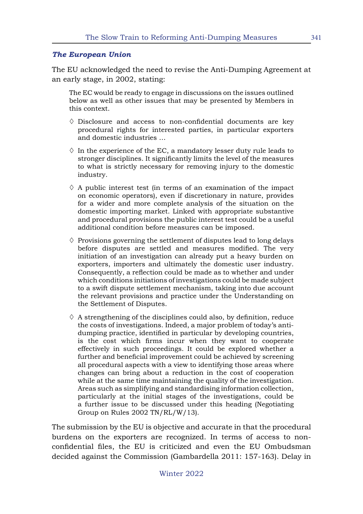#### *The European Union*

The EU acknowledged the need to revise the Anti-Dumping Agreement at an early stage, in 2002, stating:

The EC would be ready to engage in discussions on the issues outlined below as well as other issues that may be presented by Members in this context.

- $\Diamond$  Disclosure and access to non-confidential documents are key procedural rights for interested parties, in particular exporters and domestic industries …
- $\Diamond$  In the experience of the EC, a mandatory lesser duty rule leads to stronger disciplines. It significantly limits the level of the measures to what is strictly necessary for removing injury to the domestic industry.
- $\Diamond$  A public interest test (in terms of an examination of the impact on economic operators), even if discretionary in nature, provides for a wider and more complete analysis of the situation on the domestic importing market. Linked with appropriate substantive and procedural provisions the public interest test could be a useful additional condition before measures can be imposed.
- $\Diamond$  Provisions governing the settlement of disputes lead to long delays before disputes are settled and measures modified. The very initiation of an investigation can already put a heavy burden on exporters, importers and ultimately the domestic user industry. Consequently, a reflection could be made as to whether and under which conditions initiations of investigations could be made subject to a swift dispute settlement mechanism, taking into due account the relevant provisions and practice under the Understanding on the Settlement of Disputes.
- $\Diamond$  A strengthening of the disciplines could also, by definition, reduce the costs of investigations. Indeed, a major problem of today's antidumping practice, identified in particular by developing countries, is the cost which firms incur when they want to cooperate effectively in such proceedings. It could be explored whether a further and beneficial improvement could be achieved by screening all procedural aspects with a view to identifying those areas where changes can bring about a reduction in the cost of cooperation while at the same time maintaining the quality of the investigation. Areas such as simplifying and standardising information collection, particularly at the initial stages of the investigations, could be a further issue to be discussed under this heading (Negotiating Group on Rules 2002 TN/RL/W/13).

The submission by the EU is objective and accurate in that the procedural burdens on the exporters are recognized. In terms of access to nonconfidential files, the EU is criticized and even the EU Ombudsman decided against the Commission (Gambardella 2011: 157-163). Delay in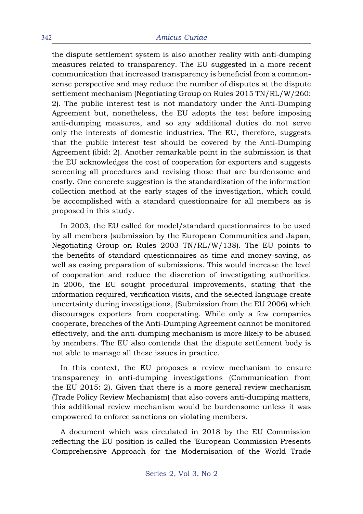the dispute settlement system is also another reality with anti-dumping measures related to transparency. The EU suggested in a more recent communication that increased transparency is beneficial from a commonsense perspective and may reduce the number of disputes at the dispute settlement mechanism (Negotiating Group on Rules 2015 TN/RL/W/260: 2). The public interest test is not mandatory under the Anti-Dumping Agreement but, nonetheless, the EU adopts the test before imposing anti-dumping measures, and so any additional duties do not serve only the interests of domestic industries. The EU, therefore, suggests that the public interest test should be covered by the Anti-Dumping Agreement (ibid: 2). Another remarkable point in the submission is that the EU acknowledges the cost of cooperation for exporters and suggests screening all procedures and revising those that are burdensome and costly. One concrete suggestion is the standardization of the information collection method at the early stages of the investigation, which could be accomplished with a standard questionnaire for all members as is proposed in this study.

In 2003, the EU called for model/standard questionnaires to be used by all members (submission by the European Communities and Japan, Negotiating Group on Rules 2003 TN/RL/W/138). The EU points to the benefits of standard questionnaires as time and money-saving, as well as easing preparation of submissions. This would increase the level of cooperation and reduce the discretion of investigating authorities. In 2006, the EU sought procedural improvements, stating that the information required, verification visits, and the selected language create uncertainty during investigations, (Submission from the EU 2006) which discourages exporters from cooperating. While only a few companies cooperate, breaches of the Anti-Dumping Agreement cannot be monitored effectively, and the anti-dumping mechanism is more likely to be abused by members. The EU also contends that the dispute settlement body is not able to manage all these issues in practice.

In this context, the EU proposes a review mechanism to ensure transparency in anti-dumping investigations (Communication from the EU 2015: 2). Given that there is a more general review mechanism (Trade Policy Review Mechanism) that also covers anti-dumping matters, this additional review mechanism would be burdensome unless it was empowered to enforce sanctions on violating members.

A document which was circulated in 2018 by the EU Commission reflecting the EU position is called the 'European Commission Presents Comprehensive Approach for the Modernisation of the World Trade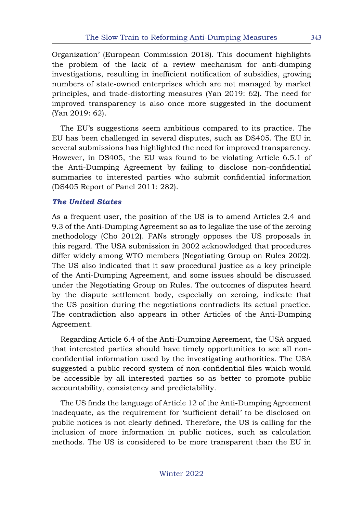Organization' (European Commission 2018). This document highlights the problem of the lack of a review mechanism for anti-dumping investigations, resulting in inefficient notification of subsidies, growing numbers of state-owned enterprises which are not managed by market principles, and trade-distorting measures (Yan 2019: 62). The need for improved transparency is also once more suggested in the document (Yan 2019: 62).

The EU's suggestions seem ambitious compared to its practice. The EU has been challenged in several disputes, such as DS405. The EU in several submissions has highlighted the need for improved transparency. However, in DS405, the EU was found to be violating Article 6.5.1 of the Anti-Dumping Agreement by failing to disclose non-confidential summaries to interested parties who submit confidential information (DS405 Report of Panel 2011: 282).

### *The United States*

As a frequent user, the position of the US is to amend Articles 2.4 and 9.3 of the Anti-Dumping Agreement so as to legalize the use of the zeroing methodology (Cho 2012). FANs strongly opposes the US proposals in this regard. The USA submission in 2002 acknowledged that procedures differ widely among WTO members (Negotiating Group on Rules 2002). The US also indicated that it saw procedural justice as a key principle of the Anti-Dumping Agreement, and some issues should be discussed under the Negotiating Group on Rules. The outcomes of disputes heard by the dispute settlement body, especially on zeroing, indicate that the US position during the negotiations contradicts its actual practice. The contradiction also appears in other Articles of the Anti-Dumping Agreement.

Regarding Article 6.4 of the Anti-Dumping Agreement, the USA argued that interested parties should have timely opportunities to see all nonconfidential information used by the investigating authorities. The USA suggested a public record system of non-confidential files which would be accessible by all interested parties so as better to promote public accountability, consistency and predictability.

The US finds the language of Article 12 of the Anti-Dumping Agreement inadequate, as the requirement for 'sufficient detail' to be disclosed on public notices is not clearly defined. Therefore, the US is calling for the inclusion of more information in public notices, such as calculation methods. The US is considered to be more transparent than the EU in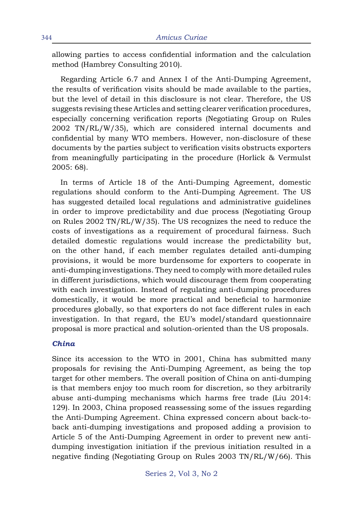allowing parties to access confidential information and the calculation method (Hambrey Consulting 2010).

Regarding Article 6.7 and Annex I of the Anti-Dumping Agreement, the results of verification visits should be made available to the parties, but the level of detail in this disclosure is not clear. Therefore, the US suggests revising these Articles and setting clearer verification procedures, especially concerning verification reports (Negotiating Group on Rules 2002 TN/RL/W/35), which are considered internal documents and confidential by many WTO members. However, non-disclosure of these documents by the parties subject to verification visits obstructs exporters from meaningfully participating in the procedure (Horlick & Vermulst 2005: 68).

In terms of Article 18 of the Anti-Dumping Agreement, domestic regulations should conform to the Anti-Dumping Agreement. The US has suggested detailed local regulations and administrative guidelines in order to improve predictability and due process (Negotiating Group on Rules 2002 TN/RL/W/35). The US recognizes the need to reduce the costs of investigations as a requirement of procedural fairness. Such detailed domestic regulations would increase the predictability but, on the other hand, if each member regulates detailed anti-dumping provisions, it would be more burdensome for exporters to cooperate in anti-dumping investigations. They need to comply with more detailed rules in different jurisdictions, which would discourage them from cooperating with each investigation. Instead of regulating anti-dumping procedures domestically, it would be more practical and beneficial to harmonize procedures globally, so that exporters do not face different rules in each investigation. In that regard, the EU's model/standard questionnaire proposal is more practical and solution-oriented than the US proposals.

#### *China*

Since its accession to the WTO in 2001, China has submitted many proposals for revising the Anti-Dumping Agreement, as being the top target for other members. The overall position of China on anti-dumping is that members enjoy too much room for discretion, so they arbitrarily abuse anti-dumping mechanisms which harms free trade (Liu 2014: 129). In 2003, China proposed reassessing some of the issues regarding the Anti-Dumping Agreement. China expressed concern about back-toback anti-dumping investigations and proposed adding a provision to Article 5 of the Anti-Dumping Agreement in order to prevent new antidumping investigation initiation if the previous initiation resulted in a negative finding (Negotiating Group on Rules 2003 TN/RL/W/66). This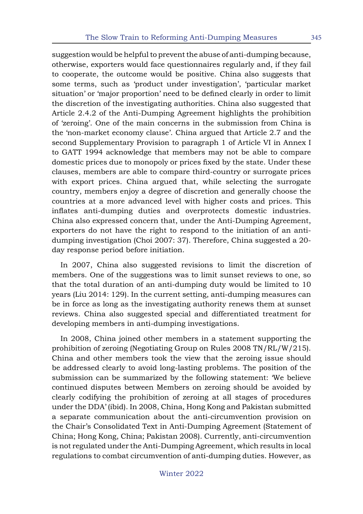suggestion would be helpful to prevent the abuse of anti-dumping because, otherwise, exporters would face questionnaires regularly and, if they fail to cooperate, the outcome would be positive. China also suggests that some terms, such as 'product under investigation', 'particular market situation' or 'major proportion' need to be defined clearly in order to limit the discretion of the investigating authorities. China also suggested that Article 2.4.2 of the Anti-Dumping Agreement highlights the prohibition of 'zeroing'. One of the main concerns in the submission from China is the 'non-market economy clause'. China argued that Article 2.7 and the second Supplementary Provision to paragraph 1 of Article VI in Annex I to GATT 1994 acknowledge that members may not be able to compare domestic prices due to monopoly or prices fixed by the state. Under these clauses, members are able to compare third-country or surrogate prices with export prices. China argued that, while selecting the surrogate country, members enjoy a degree of discretion and generally choose the countries at a more advanced level with higher costs and prices. This inflates anti-dumping duties and overprotects domestic industries. China also expressed concern that, under the Anti-Dumping Agreement, exporters do not have the right to respond to the initiation of an antidumping investigation (Choi 2007: 37). Therefore, China suggested a 20 day response period before initiation.

In 2007, China also suggested revisions to limit the discretion of members. One of the suggestions was to limit sunset reviews to one, so that the total duration of an anti-dumping duty would be limited to 10 years (Liu 2014: 129). In the current setting, anti-dumping measures can be in force as long as the investigating authority renews them at sunset reviews. China also suggested special and differentiated treatment for developing members in anti-dumping investigations.

In 2008, China joined other members in a statement supporting the prohibition of zeroing (Negotiating Group on Rules 2008 TN/RL/W/215). China and other members took the view that the zeroing issue should be addressed clearly to avoid long-lasting problems. The position of the submission can be summarized by the following statement: 'We believe continued disputes between Members on zeroing should be avoided by clearly codifying the prohibition of zeroing at all stages of procedures under the DDA' (ibid). In 2008, China, Hong Kong and Pakistan submitted a separate communication about the anti-circumvention provision on the Chair's Consolidated Text in Anti-Dumping Agreement (Statement of China; Hong Kong, China; Pakistan 2008). Currently, anti-circumvention is not regulated under the Anti-Dumping Agreement, which results in local regulations to combat circumvention of anti-dumping duties. However, as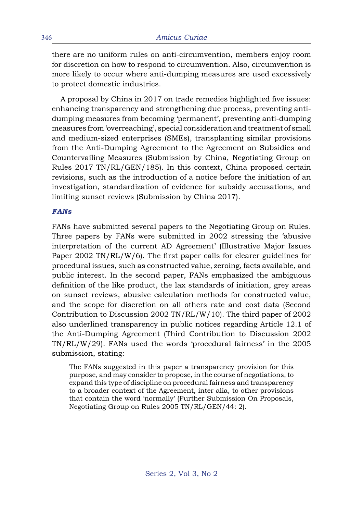there are no uniform rules on anti-circumvention, members enjoy room for discretion on how to respond to circumvention. Also, circumvention is more likely to occur where anti-dumping measures are used excessively to protect domestic industries.

A proposal by China in 2017 on trade remedies highlighted five issues: enhancing transparency and strengthening due process, preventing antidumping measures from becoming 'permanent', preventing anti-dumping measures from 'overreaching', special consideration and treatment of small and medium-sized enterprises (SMEs), transplanting similar provisions from the Anti-Dumping Agreement to the Agreement on Subsidies and Countervailing Measures (Submission by China, Negotiating Group on Rules 2017 TN/RL/GEN/185). In this context, China proposed certain revisions, such as the introduction of a notice before the initiation of an investigation, standardization of evidence for subsidy accusations, and limiting sunset reviews (Submission by China 2017).

#### *FANs*

FANs have submitted several papers to the Negotiating Group on Rules. Three papers by FANs were submitted in 2002 stressing the 'abusive interpretation of the current AD Agreement' (Illustrative Major Issues Paper 2002 TN/RL/W/6). The first paper calls for clearer guidelines for procedural issues, such as constructed value, zeroing, facts available, and public interest. In the second paper, FANs emphasized the ambiguous definition of the like product, the lax standards of initiation, grey areas on sunset reviews, abusive calculation methods for constructed value, and the scope for discretion on all others rate and cost data (Second Contribution to Discussion 2002 TN/RL/W/10). The third paper of 2002 also underlined transparency in public notices regarding Article 12.1 of the Anti-Dumping Agreement (Third Contribution to Discussion 2002 TN/RL/W/29). FANs used the words 'procedural fairness' in the 2005 submission, stating:

The FANs suggested in this paper a transparency provision for this purpose, and may consider to propose, in the course of negotiations, to expand this type of discipline on procedural fairness and transparency to a broader context of the Agreement, inter alia, to other provisions that contain the word 'normally' (Further Submission On Proposals, Negotiating Group on Rules 2005 TN/RL/GEN/44: 2).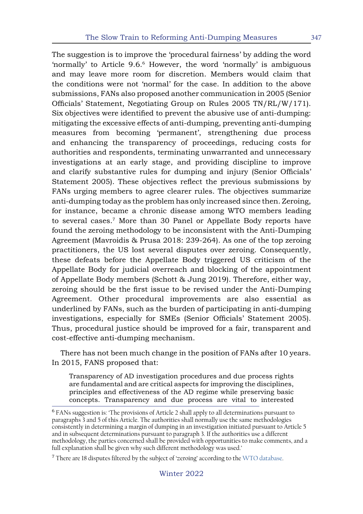The suggestion is to improve the 'procedural fairness' by adding the word 'normally' to Article 9.6.6 However, the word 'normally' is ambiguous and may leave more room for discretion. Members would claim that the conditions were not 'normal' for the case. In addition to the above submissions, FANs also proposed another communication in 2005 (Senior Officials' Statement, Negotiating Group on Rules 2005 TN/RL/W/171). Six objectives were identified to prevent the abusive use of anti-dumping: mitigating the excessive effects of anti-dumping, preventing anti-dumping measures from becoming 'permanent', strengthening due process and enhancing the transparency of proceedings, reducing costs for authorities and respondents, terminating unwarranted and unnecessary investigations at an early stage, and providing discipline to improve and clarify substantive rules for dumping and injury (Senior Officials' Statement 2005). These objectives reflect the previous submissions by FANs urging members to agree clearer rules. The objectives summarize anti-dumping today as the problem has only increased since then. Zeroing, for instance, became a chronic disease among WTO members leading to several cases.7 More than 30 Panel or Appellate Body reports have found the zeroing methodology to be inconsistent with the Anti-Dumping Agreement (Mavroidis & Prusa 2018: 239-264). As one of the top zeroing practitioners, the US lost several disputes over zeroing. Consequently, these defeats before the Appellate Body triggered US criticism of the Appellate Body for judicial overreach and blocking of the appointment of Appellate Body members (Schott & Jung 2019). Therefore, either way, zeroing should be the first issue to be revised under the Anti-Dumping Agreement. Other procedural improvements are also essential as underlined by FANs, such as the burden of participating in anti-dumping investigations, especially for SMEs (Senior Officials' Statement 2005). Thus, procedural justice should be improved for a fair, transparent and cost-effective anti-dumping mechanism.

There has not been much change in the position of FANs after 10 years. In 2015, FANS proposed that:

Transparency of AD investigation procedures and due process rights are fundamental and are critical aspects for improving the disciplines, principles and effectiveness of the AD regime while preserving basic concepts. Transparency and due process are vital to interested

 $7$  There are 18 disputes filtered by the subject of 'zeroing' according to the [WTO database.](https://www.wto.org/english/tratop_e/dispu_e/dispu_subjects_index_e.htm)

<sup>6</sup> FANs suggestion is: 'The provisions of Article 2 shall apply to all determinations pursuant to paragraphs 3 and 5 of this Article. The authorities shall normally use the same methodologies consistently in determining a margin of dumping in an investigation initiated pursuant to Article 5 and in subsequent determinations pursuant to paragraph 3. If the authorities use a different methodology, the parties concerned shall be provided with opportunities to make comments, and a full explanation shall be given why such different methodology was used.'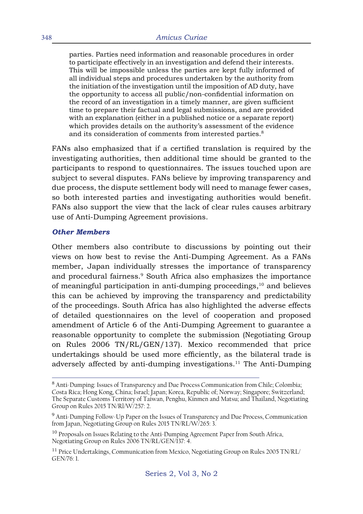parties. Parties need information and reasonable procedures in order to participate effectively in an investigation and defend their interests. This will be impossible unless the parties are kept fully informed of all individual steps and procedures undertaken by the authority from the initiation of the investigation until the imposition of AD duty, have the opportunity to access all public/non-confidential information on the record of an investigation in a timely manner, are given sufficient time to prepare their factual and legal submissions, and are provided with an explanation (either in a published notice or a separate report) which provides details on the authority's assessment of the evidence and its consideration of comments from interested parties.<sup>8</sup>

FANs also emphasized that if a certified translation is required by the investigating authorities, then additional time should be granted to the participants to respond to questionnaires. The issues touched upon are subject to several disputes. FANs believe by improving transparency and due process, the dispute settlement body will need to manage fewer cases, so both interested parties and investigating authorities would benefit. FANs also support the view that the lack of clear rules causes arbitrary use of Anti-Dumping Agreement provisions.

#### *Other Members*

Other members also contribute to discussions by pointing out their views on how best to revise the Anti-Dumping Agreement. As a FANs member, Japan individually stresses the importance of transparency and procedural fairness.<sup>9</sup> South Africa also emphasizes the importance of meaningful participation in anti-dumping proceedings,<sup>10</sup> and believes this can be achieved by improving the transparency and predictability of the proceedings. South Africa has also highlighted the adverse effects of detailed questionnaires on the level of cooperation and proposed amendment of Article 6 of the Anti-Dumping Agreement to guarantee a reasonable opportunity to complete the submission (Negotiating Group on Rules 2006 TN/RL/GEN/137). Mexico recommended that price undertakings should be used more efficiently, as the bilateral trade is adversely affected by anti-dumping investigations.<sup>11</sup> The Anti-Dumping

<sup>8</sup> Anti-Dumping: Issues of Transparency and Due Process Communication from Chile; Colombia; Costa Rica; Hong Kong, China; Israel; Japan; Korea, Republic of; Norway; Singapore; Switzerland; The Separate Customs Territory of Taiwan, Penghu, Kinmen and Matsu; and Thailand, Negotiating Group on Rules 2015 TN/Rl/W/257: 2.

<sup>&</sup>lt;sup>9</sup> Anti-Dumping Follow-Up Paper on the Issues of Transparency and Due Process, Communication from Japan, Negotiating Group on Rules 2015 TN/RL/W/265: 3.

<sup>&</sup>lt;sup>10</sup> Proposals on Issues Relating to the Anti-Dumping Agreement Paper from South Africa, Negotiating Group on Rules 2006 TN/RL/GEN/137: 4.

<sup>&</sup>lt;sup>11</sup> Price Undertakings, Communication from Mexico, Negotiating Group on Rules 2005 TN/RL/ GEN/76: 1.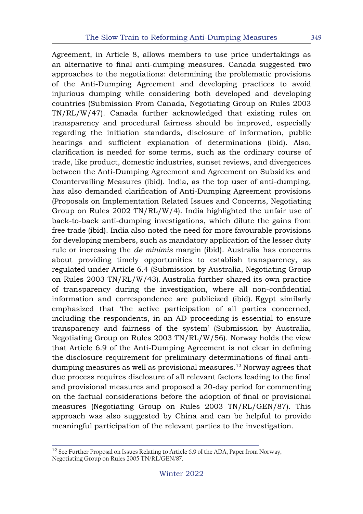Agreement, in Article 8, allows members to use price undertakings as an alternative to final anti-dumping measures. Canada suggested two approaches to the negotiations: determining the problematic provisions of the Anti-Dumping Agreement and developing practices to avoid injurious dumping while considering both developed and developing countries (Submission From Canada, Negotiating Group on Rules 2003 TN/RL/W/47). Canada further acknowledged that existing rules on transparency and procedural fairness should be improved, especially regarding the initiation standards, disclosure of information, public hearings and sufficient explanation of determinations (ibid). Also, clarification is needed for some terms, such as the ordinary course of trade, like product, domestic industries, sunset reviews, and divergences between the Anti-Dumping Agreement and Agreement on Subsidies and Countervailing Measures (ibid). India, as the top user of anti-dumping, has also demanded clarification of Anti-Dumping Agreement provisions (Proposals on Implementation Related Issues and Concerns, Negotiating Group on Rules 2002 TN/RL/W/4). India highlighted the unfair use of back-to-back anti-dumping investigations, which dilute the gains from free trade (ibid). India also noted the need for more favourable provisions for developing members, such as mandatory application of the lesser duty rule or increasing the *de minimis* margin (ibid). Australia has concerns about providing timely opportunities to establish transparency, as regulated under Article 6.4 (Submission by Australia, Negotiating Group on Rules 2003 TN/RL/W/43). Australia further shared its own practice of transparency during the investigation, where all non-confidential information and correspondence are publicized (ibid). Egypt similarly emphasized that 'the active participation of all parties concerned, including the respondents, in an AD proceeding is essential to ensure transparency and fairness of the system' (Submission by Australia, Negotiating Group on Rules 2003 TN/RL/W/56). Norway holds the view that Article 6.9 of the Anti-Dumping Agreement is not clear in defining the disclosure requirement for preliminary determinations of final antidumping measures as well as provisional measures.<sup>12</sup> Norway agrees that due process requires disclosure of all relevant factors leading to the final and provisional measures and proposed a 20-day period for commenting on the factual considerations before the adoption of final or provisional measures (Negotiating Group on Rules 2003 TN/RL/GEN/87). This approach was also suggested by China and can be helpful to provide meaningful participation of the relevant parties to the investigation.

<sup>&</sup>lt;sup>12</sup> See Further Proposal on Issues Relating to Article 6.9 of the ADA, Paper from Norway, Negotiating Group on Rules 2005 TN/RL/GEN/87.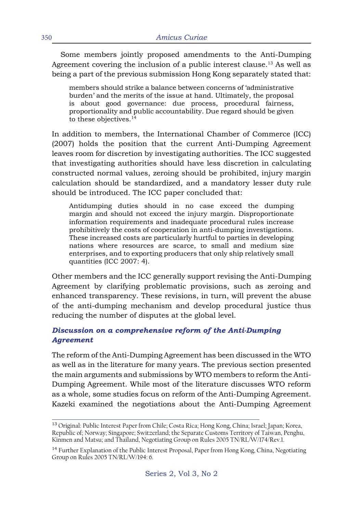Some members jointly proposed amendments to the Anti-Dumping Agreement covering the inclusion of a public interest clause.<sup>13</sup> As well as being a part of the previous submission Hong Kong separately stated that:

members should strike a balance between concerns of 'administrative burden' and the merits of the issue at hand. Ultimately, the proposal is about good governance: due process, procedural fairness, proportionality and public accountability. Due regard should be given to these objectives.<sup>14</sup>

In addition to members, the International Chamber of Commerce (ICC) (2007) holds the position that the current Anti-Dumping Agreement leaves room for discretion by investigating authorities. The ICC suggested that investigating authorities should have less discretion in calculating constructed normal values, zeroing should be prohibited, injury margin calculation should be standardized, and a mandatory lesser duty rule should be introduced. The ICC paper concluded that:

Antidumping duties should in no case exceed the dumping margin and should not exceed the injury margin. Disproportionate information requirements and inadequate procedural rules increase prohibitively the costs of cooperation in anti-dumping investigations. These increased costs are particularly hurtful to parties in developing nations where resources are scarce, to small and medium size enterprises, and to exporting producers that only ship relatively small quantities (ICC 2007: 4).

Other members and the ICC generally support revising the Anti-Dumping Agreement by clarifying problematic provisions, such as zeroing and enhanced transparency. These revisions, in turn, will prevent the abuse of the anti-dumping mechanism and develop procedural justice thus reducing the number of disputes at the global level.

### *Discussion on a comprehensive reform of the Anti-Dumping Agreement*

The reform of the Anti-Dumping Agreement has been discussed in the WTO as well as in the literature for many years. The previous section presented the main arguments and submissions by WTO members to reform the Anti-Dumping Agreement. While most of the literature discusses WTO reform as a whole, some studies focus on reform of the Anti-Dumping Agreement. Kazeki examined the negotiations about the Anti-Dumping Agreement

<sup>&</sup>lt;sup>13</sup> Original: Public Interest Paper from Chile; Costa Rica; Hong Kong, China; Israel; Japan; Korea, Republic of; Norway; Singapore; Switzerland; the Separate Customs Territory of Taiwan, Penghu, Kinmen and Matsu; and Thailand, Negotiating Group on Rules 2005 TN/RL/W/174/Rev.1.

<sup>&</sup>lt;sup>14</sup> Further Explanation of the Public Interest Proposal, Paper from Hong Kong, China, Negotiating Group on Rules 2005 TN/RL/W/194: 6.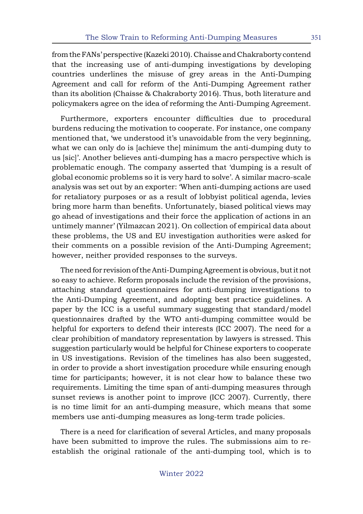from the FANs' perspective (Kazeki 2010). Chaisse and Chakraborty contend that the increasing use of anti-dumping investigations by developing countries underlines the misuse of grey areas in the Anti-Dumping Agreement and call for reform of the Anti-Dumping Agreement rather than its abolition (Chaisse & Chakraborty 2016). Thus, both literature and policymakers agree on the idea of reforming the Anti-Dumping Agreement.

Furthermore, exporters encounter difficulties due to procedural burdens reducing the motivation to cooperate. For instance, one company mentioned that, 'we understood it's unavoidable from the very beginning, what we can only do is [achieve the] minimum the anti-dumping duty to us [sic]'. Another believes anti-dumping has a macro perspective which is problematic enough. The company asserted that 'dumping is a result of global economic problems so it is very hard to solve'. A similar macro-scale analysis was set out by an exporter: 'When anti-dumping actions are used for retaliatory purposes or as a result of lobbyist political agenda, levies bring more harm than benefits. Unfortunately, biased political views may go ahead of investigations and their force the application of actions in an untimely manner' (Yilmazcan 2021). On collection of empirical data about these problems, the US and EU investigation authorities were asked for their comments on a possible revision of the Anti-Dumping Agreement; however, neither provided responses to the surveys.

The need for revision of the Anti-Dumping Agreement is obvious, but it not so easy to achieve. Reform proposals include the revision of the provisions, attaching standard questionnaires for anti-dumping investigations to the Anti-Dumping Agreement, and adopting best practice guidelines. A paper by the ICC is a useful summary suggesting that standard/model questionnaires drafted by the WTO anti-dumping committee would be helpful for exporters to defend their interests (ICC 2007). The need for a clear prohibition of mandatory representation by lawyers is stressed. This suggestion particularly would be helpful for Chinese exporters to cooperate in US investigations. Revision of the timelines has also been suggested, in order to provide a short investigation procedure while ensuring enough time for participants; however, it is not clear how to balance these two requirements. Limiting the time span of anti-dumping measures through sunset reviews is another point to improve (ICC 2007). Currently, there is no time limit for an anti-dumping measure, which means that some members use anti-dumping measures as long-term trade policies.

There is a need for clarification of several Articles, and many proposals have been submitted to improve the rules. The submissions aim to reestablish the original rationale of the anti-dumping tool, which is to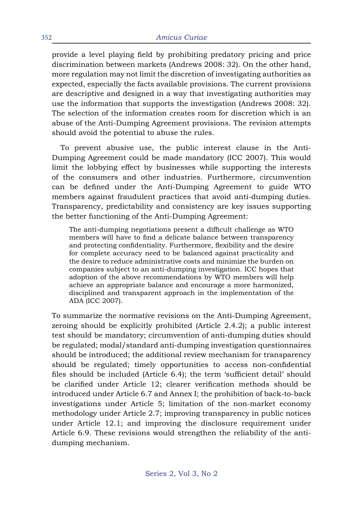provide a level playing field by prohibiting predatory pricing and price discrimination between markets (Andrews 2008: 32). On the other hand, more regulation may not limit the discretion of investigating authorities as expected, especially the facts available provisions. The current provisions are descriptive and designed in a way that investigating authorities may use the information that supports the investigation (Andrews 2008: 32). The selection of the information creates room for discretion which is an abuse of the Anti-Dumping Agreement provisions. The revision attempts should avoid the potential to abuse the rules.

To prevent abusive use, the public interest clause in the Anti-Dumping Agreement could be made mandatory (ICC 2007). This would limit the lobbying effect by businesses while supporting the interests of the consumers and other industries. Furthermore, circumvention can be defined under the Anti-Dumping Agreement to guide WTO members against fraudulent practices that avoid anti-dumping duties. Transparency, predictability and consistency are key issues supporting the better functioning of the Anti-Dumping Agreement:

The anti-dumping negotiations present a difficult challenge as WTO members will have to find a delicate balance between transparency and protecting confidentiality. Furthermore, flexibility and the desire for complete accuracy need to be balanced against practicality and the desire to reduce administrative costs and minimize the burden on companies subject to an anti-dumping investigation. ICC hopes that adoption of the above recommendations by WTO members will help achieve an appropriate balance and encourage a more harmonized, disciplined and transparent approach in the implementation of the ADA (ICC 2007).

To summarize the normative revisions on the Anti-Dumping Agreement, zeroing should be explicitly prohibited (Article 2.4.2); a public interest test should be mandatory; circumvention of anti-dumping duties should be regulated; modal/standard anti-dumping investigation questionnaires should be introduced; the additional review mechanism for transparency should be regulated; timely opportunities to access non-confidential files should be included (Article 6.4); the term 'sufficient detail' should be clarified under Article 12; clearer verification methods should be introduced under Article 6.7 and Annex I; the prohibition of back-to-back investigations under Article 5; limitation of the non-market economy methodology under Article 2.7; improving transparency in public notices under Article 12.1; and improving the disclosure requirement under Article 6.9. These revisions would strengthen the reliability of the antidumping mechanism.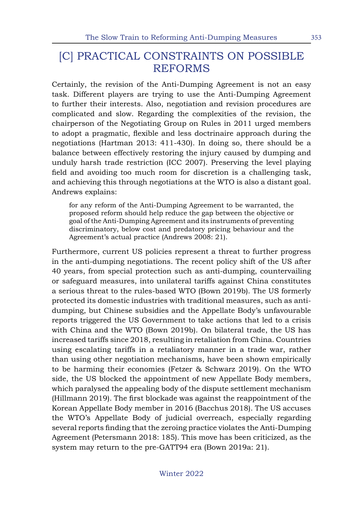# [C] PRACTICAL CONSTRAINTS ON POSSIBLE REFORMS

Certainly, the revision of the Anti-Dumping Agreement is not an easy task. Different players are trying to use the Anti-Dumping Agreement to further their interests. Also, negotiation and revision procedures are complicated and slow. Regarding the complexities of the revision, the chairperson of the Negotiating Group on Rules in 2011 urged members to adopt a pragmatic, flexible and less doctrinaire approach during the negotiations (Hartman 2013: 411-430). In doing so, there should be a balance between effectively restoring the injury caused by dumping and unduly harsh trade restriction (ICC 2007). Preserving the level playing field and avoiding too much room for discretion is a challenging task, and achieving this through negotiations at the WTO is also a distant goal. Andrews explains:

for any reform of the Anti-Dumping Agreement to be warranted, the proposed reform should help reduce the gap between the objective or goal of the Anti-Dumping Agreement and its instruments of preventing discriminatory, below cost and predatory pricing behaviour and the Agreement's actual practice (Andrews 2008: 21).

Furthermore, current US policies represent a threat to further progress in the anti-dumping negotiations. The recent policy shift of the US after 40 years, from special protection such as anti-dumping, countervailing or safeguard measures, into unilateral tariffs against China constitutes a serious threat to the rules-based WTO (Bown 2019b). The US formerly protected its domestic industries with traditional measures, such as antidumping, but Chinese subsidies and the Appellate Body's unfavourable reports triggered the US Government to take actions that led to a crisis with China and the WTO (Bown 2019b). On bilateral trade, the US has increased tariffs since 2018, resulting in retaliation from China. Countries using escalating tariffs in a retaliatory manner in a trade war, rather than using other negotiation mechanisms, have been shown empirically to be harming their economies (Fetzer & Schwarz 2019). On the WTO side, the US blocked the appointment of new Appellate Body members, which paralysed the appealing body of the dispute settlement mechanism (Hillmann 2019). The first blockade was against the reappointment of the Korean Appellate Body member in 2016 (Bacchus 2018). The US accuses the WTO's Appellate Body of judicial overreach, especially regarding several reports finding that the zeroing practice violates the Anti-Dumping Agreement (Petersmann 2018: 185). This move has been criticized, as the system may return to the pre-GATT94 era (Bown 2019a: 21).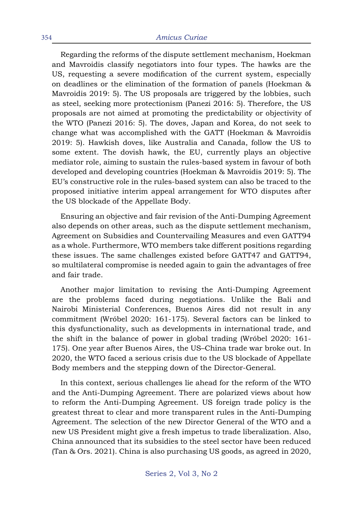Regarding the reforms of the dispute settlement mechanism, Hoekman and Mavroidis classify negotiators into four types. The hawks are the US, requesting a severe modification of the current system, especially on deadlines or the elimination of the formation of panels (Hoekman & Mavroidis 2019: 5). The US proposals are triggered by the lobbies, such as steel, seeking more protectionism (Panezi 2016: 5). Therefore, the US proposals are not aimed at promoting the predictability or objectivity of the WTO (Panezi 2016: 5). The doves, Japan and Korea, do not seek to change what was accomplished with the GATT (Hoekman & Mavroidis 2019: 5). Hawkish doves, like Australia and Canada, follow the US to some extent. The dovish hawk, the EU, currently plays an objective mediator role, aiming to sustain the rules-based system in favour of both developed and developing countries (Hoekman & Mavroidis 2019: 5). The EU's constructive role in the rules-based system can also be traced to the proposed initiative interim appeal arrangement for WTO disputes after the US blockade of the Appellate Body.

Ensuring an objective and fair revision of the Anti-Dumping Agreement also depends on other areas, such as the dispute settlement mechanism, Agreement on Subsidies and Countervailing Measures and even GATT94 as a whole. Furthermore, WTO members take different positions regarding these issues. The same challenges existed before GATT47 and GATT94, so multilateral compromise is needed again to gain the advantages of free and fair trade.

Another major limitation to revising the Anti-Dumping Agreement are the problems faced during negotiations. Unlike the Bali and Nairobi Ministerial Conferences, Buenos Aires did not result in any commitment (Wróbel 2020: 161-175). Several factors can be linked to this dysfunctionality, such as developments in international trade, and the shift in the balance of power in global trading (Wróbel 2020: 161- 175). One year after Buenos Aires, the US–China trade war broke out. In 2020, the WTO faced a serious crisis due to the US blockade of Appellate Body members and the stepping down of the Director-General.

In this context, serious challenges lie ahead for the reform of the WTO and the Anti-Dumping Agreement. There are polarized views about how to reform the Anti-Dumping Agreement. US foreign trade policy is the greatest threat to clear and more transparent rules in the Anti-Dumping Agreement. The selection of the new Director General of the WTO and a new US President might give a fresh impetus to trade liberalization. Also, China announced that its subsidies to the steel sector have been reduced (Tan & Ors. 2021). China is also purchasing US goods, as agreed in 2020,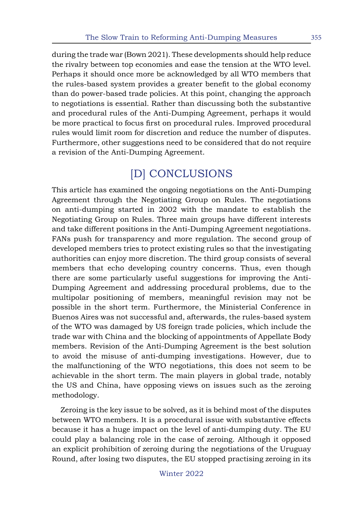during the trade war (Bown 2021). These developments should help reduce the rivalry between top economies and ease the tension at the WTO level. Perhaps it should once more be acknowledged by all WTO members that the rules-based system provides a greater benefit to the global economy than do power-based trade policies. At this point, changing the approach to negotiations is essential. Rather than discussing both the substantive and procedural rules of the Anti-Dumping Agreement, perhaps it would be more practical to focus first on procedural rules. Improved procedural rules would limit room for discretion and reduce the number of disputes. Furthermore, other suggestions need to be considered that do not require a revision of the Anti-Dumping Agreement.

# [D] CONCLUSIONS

This article has examined the ongoing negotiations on the Anti-Dumping Agreement through the Negotiating Group on Rules. The negotiations on anti-dumping started in 2002 with the mandate to establish the Negotiating Group on Rules. Three main groups have different interests and take different positions in the Anti-Dumping Agreement negotiations. FANs push for transparency and more regulation. The second group of developed members tries to protect existing rules so that the investigating authorities can enjoy more discretion. The third group consists of several members that echo developing country concerns. Thus, even though there are some particularly useful suggestions for improving the Anti-Dumping Agreement and addressing procedural problems, due to the multipolar positioning of members, meaningful revision may not be possible in the short term. Furthermore, the Ministerial Conference in Buenos Aires was not successful and, afterwards, the rules-based system of the WTO was damaged by US foreign trade policies, which include the trade war with China and the blocking of appointments of Appellate Body members. Revision of the Anti-Dumping Agreement is the best solution to avoid the misuse of anti-dumping investigations. However, due to the malfunctioning of the WTO negotiations, this does not seem to be achievable in the short term. The main players in global trade, notably the US and China, have opposing views on issues such as the zeroing methodology.

Zeroing is the key issue to be solved, as it is behind most of the disputes between WTO members. It is a procedural issue with substantive effects because it has a huge impact on the level of anti-dumping duty. The EU could play a balancing role in the case of zeroing. Although it opposed an explicit prohibition of zeroing during the negotiations of the Uruguay Round, after losing two disputes, the EU stopped practising zeroing in its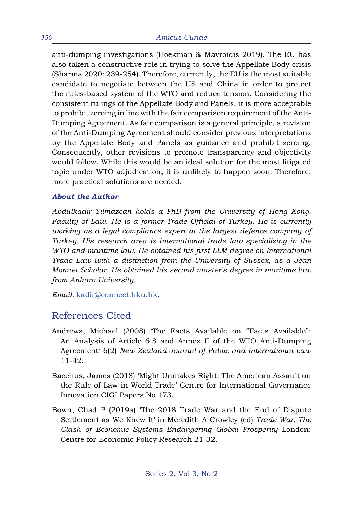anti-dumping investigations (Hoekman & Mavroidis 2019). The EU has also taken a constructive role in trying to solve the Appellate Body crisis (Sharma 2020: 239-254). Therefore, currently, the EU is the most suitable candidate to negotiate between the US and China in order to protect the rules-based system of the WTO and reduce tension. Considering the consistent rulings of the Appellate Body and Panels, it is more acceptable to prohibit zeroing in line with the fair comparison requirement of the Anti-Dumping Agreement. As fair comparison is a general principle, a revision of the Anti-Dumping Agreement should consider previous interpretations by the Appellate Body and Panels as guidance and prohibit zeroing. Consequently, other revisions to promote transparency and objectivity would follow. While this would be an ideal solution for the most litigated topic under WTO adjudication, it is unlikely to happen soon. Therefore, more practical solutions are needed.

#### *About the Author*

*Abdulkadir Yilmazcan holds a PhD from the University of Hong Kong, Faculty of Law. He is a former Trade Official of Turkey. He is currently working as a legal compliance expert at the largest defence company of Turkey. His research area is international trade law specializing in the WTO and maritime law. He obtained his first LLM degree on International Trade Law with a distinction from the University of Sussex, as a Jean Monnet Scholar. He obtained his second master's degree in maritime law from Ankara University.* 

*Email:* [kadir@connect.hku.hk](mailto:kadir%40connect.hku.hk?subject=)*.*

## References Cited

- Andrews, Michael (2008) 'The Facts Available on "Facts Available": An Analysis of Article 6.8 and Annex II of the WTO Anti-Dumping Agreement' 6(2) *New Zealand Journal of Public and International Law*  11-42.
- Bacchus, James (2018) 'Might Unmakes Right. The American Assault on the Rule of Law in World Trade' Centre for International Governance Innovation CIGI Papers No 173.
- Bown, Chad P (2019a) 'The 2018 Trade War and the End of Dispute Settlement as We Knew It' in Meredith A Crowley (ed) *Trade War: The Clash of Economic Systems Endangering Global Prosperity* London: Centre for Economic Policy Research 21-32.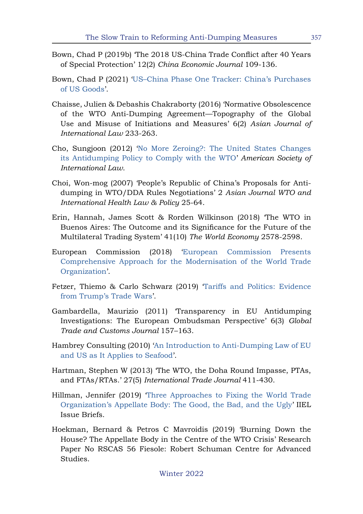- Bown, Chad P (2019b) 'The 2018 US-China Trade Conflict after 40 Years of Special Protection' 12(2) *China Economic Journal* 109-136.
- Bown, Chad P (2021) '[US–China Phase One Tracker: China's Purchases](https://www.piie.com/research/piie-charts/us-china-phase-one-tracker-chinas-purchases-us-goods) [of US Goods](https://www.piie.com/research/piie-charts/us-china-phase-one-tracker-chinas-purchases-us-goods)'.
- Chaisse, Julien & Debashis Chakraborty (2016) 'Normative Obsolescence of the WTO Anti-Dumping Agreement—Topography of the Global Use and Misuse of Initiations and Measures' 6(2) *Asian Journal of International Law* 233-263.
- Cho, Sungjoon (2012) ['No More Zeroing?: The United States Changes](http://works.bepress.com/sungjoon_cho/116/) [its Antidumping Policy to Comply with the WTO](http://works.bepress.com/sungjoon_cho/116/)' *American Society of International Law*.
- Choi, Won-mog (2007) 'People's Republic of China's Proposals for Antidumping in WTO/DDA Rules Negotiations' 2 *Asian Journal WTO and International Health Law & Policy* 25-64.
- Erin, Hannah, James Scott & Rorden Wilkinson (2018) 'The WTO in Buenos Aires: The Outcome and its Significance for the Future of the Multilateral Trading System' 41(10) *The World Economy* 2578-2598.
- European Commission (2018) '[European Commission Presents](http://trade.ec.europa.eu/doclib/press/index.cfm?id=1908) [Comprehensive Approach for the Modernisation of the World Trade](http://trade.ec.europa.eu/doclib/press/index.cfm?id=1908) [Organization'](http://trade.ec.europa.eu/doclib/press/index.cfm?id=1908).
- Fetzer, Thiemo & Carlo Schwarz (2019) ['Tariffs and Politics: Evidence](https://ssrn.com/abstract=3354445) [from Trump's Trade Wars'](https://ssrn.com/abstract=3354445).
- Gambardella, Maurizio (2011) 'Transparency in EU Antidumping Investigations: The European Ombudsman Perspective' 6(3) *Global Trade and Customs Journal* 157–163.
- Hambrey Consulting (2010) '[An Introduction to Anti-Dumping Law of EU](https://zdocs.pub/doc/ad-course-handbook-eng-jo1nykvxen6l) [and US as It Applies to Seafood'](https://zdocs.pub/doc/ad-course-handbook-eng-jo1nykvxen6l).
- Hartman, Stephen W (2013) 'The WTO, the Doha Round Impasse, PTAs, and FTAs/RTAs.' 27(5) *International Trade Journal* 411-430.
- Hillman, Jennifer (2019) ['Three Approaches to Fixing the World Trade](https://www.law.georgetown.edu/wp-content/uploads/2018/12/Hillman-Good-Bad-Ugly-Fix-to-WTO-AB.pdf) [Organization's Appellate Body: The Good, the Bad, and the Ugly](https://www.law.georgetown.edu/wp-content/uploads/2018/12/Hillman-Good-Bad-Ugly-Fix-to-WTO-AB.pdf)' IIEL Issue Briefs.
- Hoekman, Bernard & Petros C Mavroidis (2019) 'Burning Down the House? The Appellate Body in the Centre of the WTO Crisis' Research Paper No RSCAS 56 Fiesole: Robert Schuman Centre for Advanced Studies.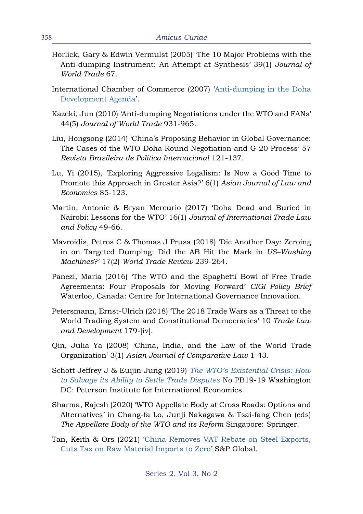- Horlick, Gary & Edwin Vermulst (2005) 'The 10 Major Problems with the Anti-dumping Instrument: An Attempt at Synthesis' 39(1) *Journal of World Trade* 67.
- International Chamber of Commerce (2007) '[Anti-dumping in the Doha](https://iccwbo.org/publication/anti-dumping-in-the-doha-development-agenda) [Development Agenda](https://iccwbo.org/publication/anti-dumping-in-the-doha-development-agenda)'.
- Kazeki, Jun (2010) 'Anti-dumping Negotiations under the WTO and FANs' 44(5) *Journal of World Trade* 931-965.
- Liu, Hongsong (2014) 'China's Proposing Behavior in Global Governance: The Cases of the WTO Doha Round Negotiation and G-20 Process' 57 *Revista Brasileira de Política Internacional* 121-137.
- Lu, Yi (2015), 'Exploring Aggressive Legalism: Is Now a Good Time to Promote this Approach in Greater Asia?' 6(1) *Asian Journal of Law and Economics* 85-123.
- Martin, Antonie & Bryan Mercurio (2017) 'Doha Dead and Buried in Nairobi: Lessons for the WTO' 16(1) *Journal of International Trade Law and Policy* 49-66.
- Mavroidis, Petros C & Thomas J Prusa (2018) 'Die Another Day: Zeroing in on Targeted Dumping: Did the AB Hit the Mark in *US–Washing Machines*?' 17(2) *World Trade Review* 239-264.
- Panezi, Maria (2016) 'The WTO and the Spaghetti Bowl of Free Trade Agreements: Four Proposals for Moving Forward' *CIGI Policy Brief*  Waterloo, Canada: Centre for International Governance Innovation.
- Petersmann, Ernst-Ulrich (2018) 'The 2018 Trade Wars as a Threat to the World Trading System and Constitutional Democracies' 10 *Trade Law and Development* 179-[iv].
- Qin, Julia Ya (2008) 'China, India, and the Law of the World Trade Organization' 3(1) *Asian Journal of Comparative Law* 1-43.
- Schott Jeffrey J & Euijin Jung (2019) *[The WTO's Existential Crisis: How](https://www.piie.com/sites/default/files/documents/pb19-19.pdf) [to Salvage its Ability to Settle Trade Disputes](https://www.piie.com/sites/default/files/documents/pb19-19.pdf)* No PB19-19 Washington DC: Peterson Institute for International Economics.
- Sharma, Rajesh (2020) 'WTO Appellate Body at Cross Roads: Options and Alternatives' in Chang-fa Lo, Junji Nakagawa & Tsai-fang Chen (eds) *The Appellate Body of the WTO and its Reform* Singapore: Springer.
- Tan, Keith & Ors (2021) ['China Removes VAT Rebate on Steel Exports,](https://www.spglobal.com/platts/en/market-insights/latest-news/metals/042821-china-removes-vat-rebate-on-steel-exports-cuts-tax-on-raw-material-imports-to-zero) [Cuts Tax on Raw Material Imports to Zero'](https://www.spglobal.com/platts/en/market-insights/latest-news/metals/042821-china-removes-vat-rebate-on-steel-exports-cuts-tax-on-raw-material-imports-to-zero) S&P Global.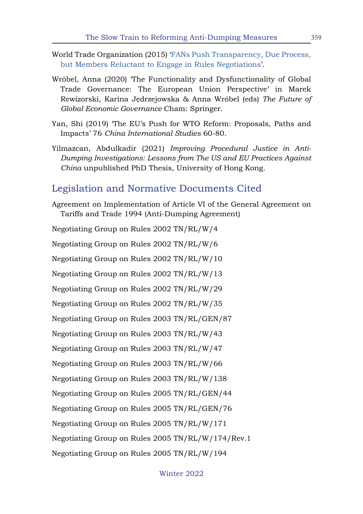- World Trade Organization (2015) ['FANs Push Transparency, Due Process,](https://www.wto.org/english/news_e/news15_e/rule_25jun15_e.htm) [but Members Reluctant to Engage in Rules Negotiations'](https://www.wto.org/english/news_e/news15_e/rule_25jun15_e.htm).
- Wróbel, Anna (2020) 'The Functionality and Dysfunctionality of Global Trade Governance: The European Union Perspective' in Marek Rewizorski, Karina Jędrzejowska & Anna Wróbel (eds) *The Future of Global Economic Governance* Cham: Springer.
- Yan, Shi (2019) 'The EU's Push for WTO Reform: Proposals, Paths and Impacts' 76 *China International Studies* 60-80.
- Yilmazcan, Abdulkadir (2021) *Improving Procedural Justice in Anti-Dumping Investigations: Lessons from The US and EU Practices Against China* unpublished PhD Thesis, University of Hong Kong.

### Legislation and Normative Documents Cited

Agreement on Implementation of Article VI of the General Agreement on Tariffs and Trade 1994 (Anti-Dumping Agreement)

Negotiating Group on Rules 2002 TN/RL/W/4 Negotiating Group on Rules 2002 TN/RL/W/6 Negotiating Group on Rules 2002 TN/RL/W/10 Negotiating Group on Rules 2002 TN/RL/W/13 Negotiating Group on Rules 2002 TN/RL/W/29 Negotiating Group on Rules 2002 TN/RL/W/35 Negotiating Group on Rules 2003 TN/RL/GEN/87 Negotiating Group on Rules 2003 TN/RL/W/43 Negotiating Group on Rules 2003 TN/RL/W/47 Negotiating Group on Rules 2003 TN/RL/W/66 Negotiating Group on Rules 2003 TN/RL/W/138 Negotiating Group on Rules 2005 TN/RL/GEN/44 Negotiating Group on Rules 2005 TN/RL/GEN/76 Negotiating Group on Rules 2005 TN/RL/W/171 Negotiating Group on Rules 2005 TN/RL/W/174/Rev.1 Negotiating Group on Rules 2005 TN/RL/W/194